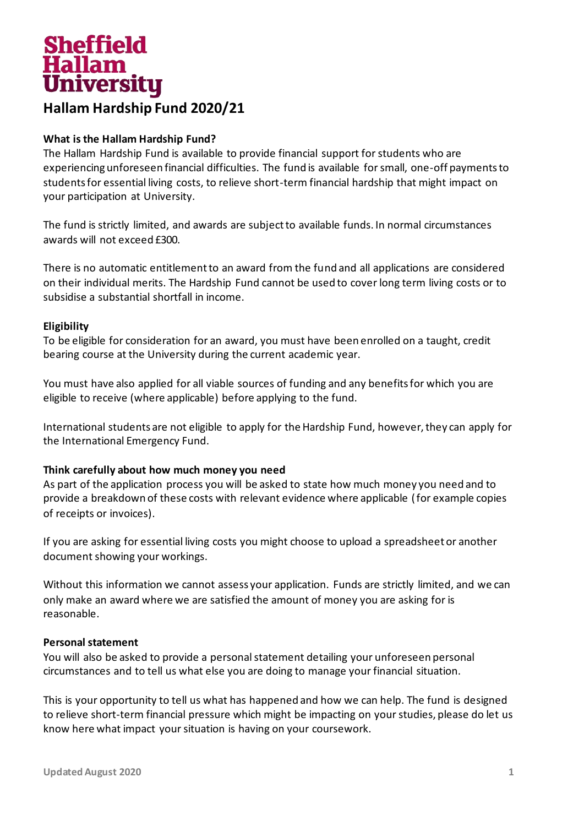# Sheffield<br>Hallam<br>University **Hallam Hardship Fund 2020/21**

# **What is the Hallam Hardship Fund?**

The Hallam Hardship Fund is available to provide financial support for students who are experiencing unforeseen financial difficulties. The fund is available for small, one-off payments to students for essential living costs, to relieve short-term financial hardship that might impact on your participation at University.

The fund is strictly limited, and awards are subject to available funds. In normal circumstances awards will not exceed £300.

There is no automatic entitlement to an award from the fund and all applications are considered on their individual merits. The Hardship Fund cannot be used to cover long term living costs or to subsidise a substantial shortfall in income.

## **Eligibility**

To be eligible for consideration for an award, you must have been enrolled on a taught, credit bearing course at the University during the current academic year.

You must have also applied for all viable sources of funding and any benefits for which you are eligible to receive (where applicable) before applying to the fund.

International students are not eligible to apply for the Hardship Fund, however, they can apply for the International Emergency Fund.

## **Think carefully about how much money you need**

As part of the application process you will be asked to state how much money you need and to provide a breakdown of these costs with relevant evidence where applicable (for example copies of receipts or invoices).

If you are asking for essential living costs you might choose to upload a spreadsheet or another document showing your workings.

Without this information we cannot assess your application. Funds are strictly limited, and we can only make an award where we are satisfied the amount of money you are asking for is reasonable.

## **Personal statement**

You will also be asked to provide a personal statement detailing your unforeseen personal circumstances and to tell us what else you are doing to manage your financial situation.

This is your opportunity to tell us what has happened and how we can help. The fund is designed to relieve short-term financial pressure which might be impacting on your studies, please do let us know here what impact your situation is having on your coursework.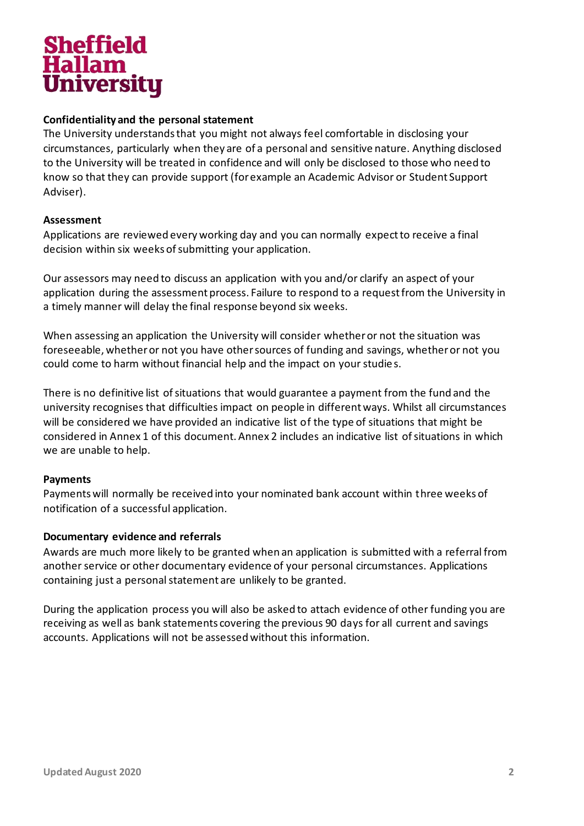

# **Confidentiality and the personal statement**

The University understands that you might not always feel comfortable in disclosing your circumstances, particularly when they are of a personal and sensitive nature. Anything disclosed to the University will be treated in confidence and will only be disclosed to those who need to know so that they can provide support (for example an Academic Advisor or Student Support Adviser).

# **Assessment**

Applications are reviewed every working day and you can normally expect to receive a final decision within six weeks of submitting your application.

Our assessors may need to discuss an application with you and/or clarify an aspect of your application during the assessment process. Failure to respond to a request from the University in a timely manner will delay the final response beyond six weeks.

When assessing an application the University will consider whether or not the situation was foreseeable, whether or not you have other sources of funding and savings, whether or not you could come to harm without financial help and the impact on your studies.

There is no definitive list of situations that would guarantee a payment from the fund and the university recognises that difficulties impact on people in different ways. Whilst all circumstances will be considered we have provided an indicative list of the type of situations that might be considered in Annex 1 of this document. Annex 2 includes an indicative list of situations in which we are unable to help.

## **Payments**

Payments will normally be received into your nominated bank account within three weeks of notification of a successful application.

## **Documentary evidence and referrals**

Awards are much more likely to be granted when an application is submitted with a referral from another service or other documentary evidence of your personal circumstances. Applications containing just a personal statement are unlikely to be granted.

During the application process you will also be asked to attach evidence of other funding you are receiving as well as bank statements covering the previous 90 days for all current and savings accounts. Applications will not be assessed without this information.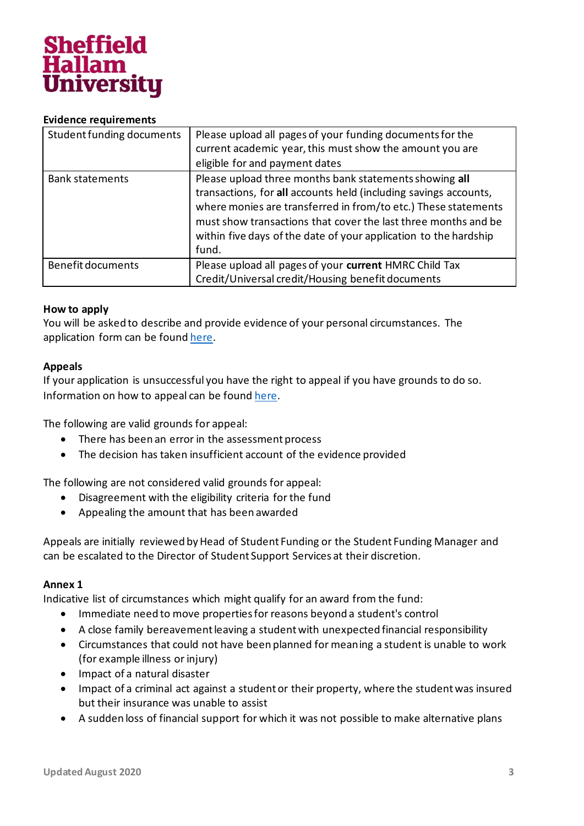

#### **Evidence requirements**

| Student funding documents | Please upload all pages of your funding documents for the<br>current academic year, this must show the amount you are<br>eligible for and payment dates                                                                                                                                                                                     |
|---------------------------|---------------------------------------------------------------------------------------------------------------------------------------------------------------------------------------------------------------------------------------------------------------------------------------------------------------------------------------------|
| <b>Bank statements</b>    | Please upload three months bank statements showing all<br>transactions, for all accounts held (including savings accounts,<br>where monies are transferred in from/to etc.) These statements<br>must show transactions that cover the last three months and be<br>within five days of the date of your application to the hardship<br>fund. |
| <b>Benefit documents</b>  | Please upload all pages of your current HMRC Child Tax<br>Credit/Universal credit/Housing benefit documents                                                                                                                                                                                                                                 |

#### **How to apply**

You will be asked to describe and provide evidence of your personal circumstances. The application form can be foun[d here.](https://students.shu.ac.uk/shuspacecontent/finance/additional-financial-help)

#### **Appeals**

If your application is unsuccessful you have the right to appeal if you have grounds to do so. Information on how to appeal can be foun[d here.](https://students.shu.ac.uk/shuspacecontent/finance/sheffield-hallam-university-bursary-guidelines)

The following are valid grounds for appeal:

- There has been an error in the assessment process
- The decision has taken insufficient account of the evidence provided

The following are not considered valid grounds for appeal:

- Disagreement with the eligibility criteria for the fund
- Appealing the amount that has been awarded

Appeals are initially reviewed by Head of Student Funding or the Student Funding Manager and can be escalated to the Director of Student Support Services at their discretion.

## **Annex 1**

Indicative list of circumstances which might qualify for an award from the fund:

- Immediate need to move properties for reasons beyond a student's control
- A close family bereavement leaving a student with unexpected financial responsibility
- Circumstances that could not have been planned for meaning a student is unable to work (for example illness or injury)
- Impact of a natural disaster
- Impact of a criminal act against a student or their property, where the student was insured but their insurance was unable to assist
- A sudden loss of financial support for which it was not possible to make alternative plans